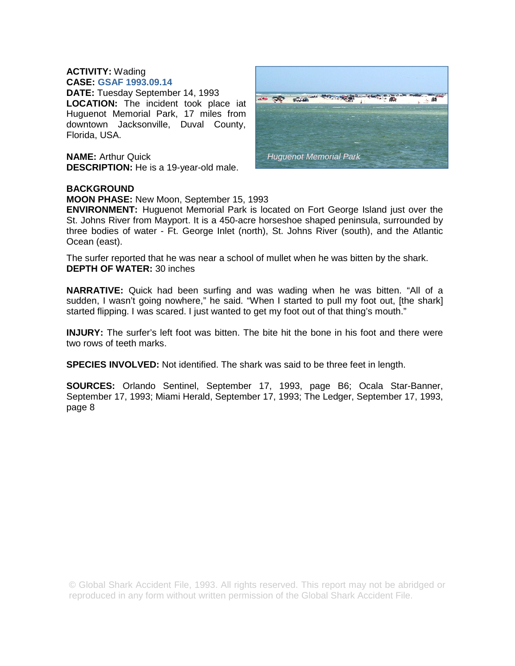## **ACTIVITY:** Wading

**CASE: GSAF 1993.09.14 DATE:** Tuesday September 14, 1993 **LOCATION:** The incident took place iat Huguenot Memorial Park, 17 miles from downtown Jacksonville, Duval County, Florida, USA.

**NAME:** Arthur Quick **DESCRIPTION:** He is a 19-year-old male.



## **BACKGROUND**

**MOON PHASE:** New Moon, September 15, 1993

**ENVIRONMENT:** Huguenot Memorial Park is located on Fort George Island just over the St. Johns River from Mayport. It is a 450-acre horseshoe shaped peninsula, surrounded by three bodies of water - Ft. George Inlet (north), St. Johns River (south), and the Atlantic Ocean (east).

The surfer reported that he was near a school of mullet when he was bitten by the shark. **DEPTH OF WATER:** 30 inches

**NARRATIVE:** Quick had been surfing and was wading when he was bitten. "All of a sudden, I wasn't going nowhere," he said. "When I started to pull my foot out, [the shark] started flipping. I was scared. I just wanted to get my foot out of that thing's mouth."

**INJURY:** The surfer's left foot was bitten. The bite hit the bone in his foot and there were two rows of teeth marks.

**SPECIES INVOLVED:** Not identified. The shark was said to be three feet in length.

**SOURCES:** Orlando Sentinel, September 17, 1993, page B6; Ocala Star-Banner, September 17, 1993; Miami Herald, September 17, 1993; The Ledger, September 17, 1993, page 8

© Global Shark Accident File, 1993. All rights reserved. This report may not be abridged or reproduced in any form without written permission of the Global Shark Accident File.